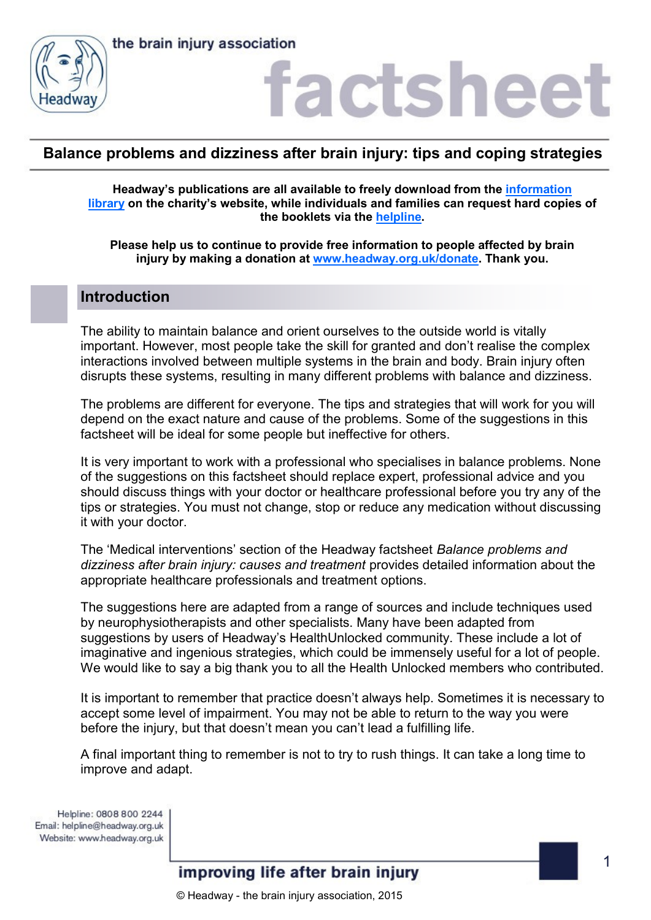



### **Balance problems and dizziness after brain injury: tips and coping strategies**

**Headway's publications are all available to freely download from the [information](https://www.headway.org.uk/about-brain-injury/individuals/information-library/)  [library](https://www.headway.org.uk/about-brain-injury/individuals/information-library/) on the charity's website, while individuals and families can request hard copies of the booklets via the [helpline.](https://www.headway.org.uk/supporting-you/helpline/)**

**Please help us to continue to provide free information to people affected by brain injury by making a donation at [www.headway.org.uk/donate.](http://www.headway.org.uk/donate) Thank you.**

#### **Introduction**

The ability to maintain balance and orient ourselves to the outside world is vitally important. However, most people take the skill for granted and don't realise the complex interactions involved between multiple systems in the brain and body. Brain injury often disrupts these systems, resulting in many different problems with balance and dizziness.

The problems are different for everyone. The tips and strategies that will work for you will depend on the exact nature and cause of the problems. Some of the suggestions in this factsheet will be ideal for some people but ineffective for others.

It is very important to work with a professional who specialises in balance problems. None of the suggestions on this factsheet should replace expert, professional advice and you should discuss things with your doctor or healthcare professional before you try any of the tips or strategies. You must not change, stop or reduce any medication without discussing it with your doctor.

The 'Medical interventions' section of the Headway factsheet *Balance problems and dizziness after brain injury: causes and treatment* provides detailed information about the appropriate healthcare professionals and treatment options.

The suggestions here are adapted from a range of sources and include techniques used by neurophysiotherapists and other specialists. Many have been adapted from suggestions by users of Headway's HealthUnlocked community. These include a lot of imaginative and ingenious strategies, which could be immensely useful for a lot of people. We would like to say a big thank you to all the Health Unlocked members who contributed.

It is important to remember that practice doesn't always help. Sometimes it is necessary to accept some level of impairment. You may not be able to return to the way you were before the injury, but that doesn't mean you can't lead a fulfilling life.

A final important thing to remember is not to try to rush things. It can take a long time to improve and adapt.

Helpline: 0808 800 2244 Email: helpline@headway.org.uk Website: www.headway.org.uk

improving life after brain injury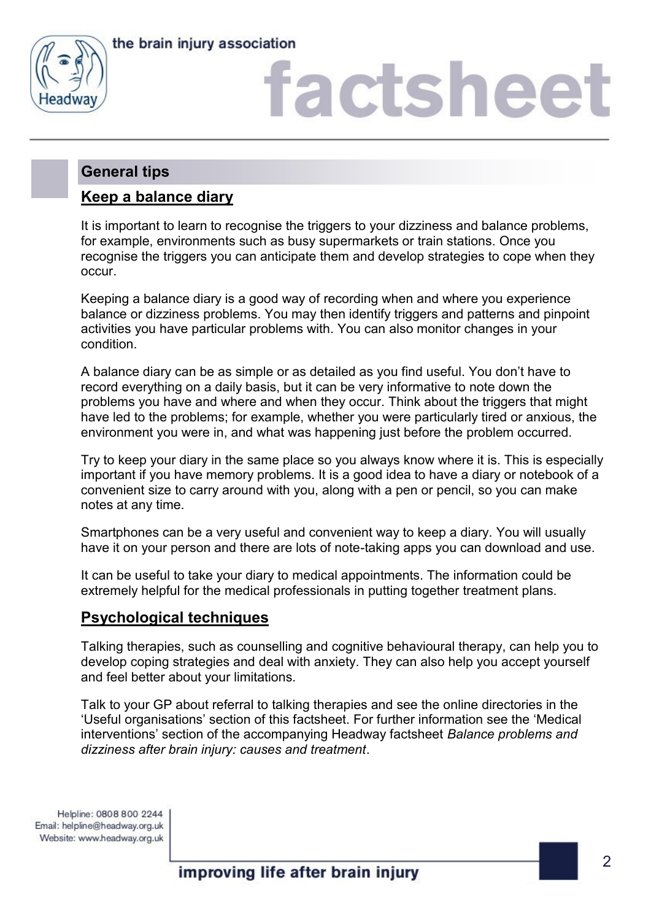



### **General tips**

### **Keep a balance diary**

It is important to learn to recognise the triggers to your dizziness and balance problems, for example, environments such as busy supermarkets or train stations. Once you recognise the triggers you can anticipate them and develop strategies to cope when they occur.

Keeping a balance diary is a good way of recording when and where you experience balance or dizziness problems. You may then identify triggers and patterns and pinpoint activities you have particular problems with. You can also monitor changes in your condition.

A balance diary can be as simple or as detailed as you find useful. You don't have to record everything on a daily basis, but it can be very informative to note down the problems you have and where and when they occur. Think about the triggers that might have led to the problems; for example, whether you were particularly tired or anxious, the environment you were in, and what was happening just before the problem occurred.

Try to keep your diary in the same place so you always know where it is. This is especially important if you have memory problems. It is a good idea to have a diary or notebook of a convenient size to carry around with you, along with a pen or pencil, so you can make notes at any time.

Smartphones can be a very useful and convenient way to keep a diary. You will usually have it on your person and there are lots of note-taking apps you can download and use.

It can be useful to take your diary to medical appointments. The information could be extremely helpful for the medical professionals in putting together treatment plans.

### **Psychological techniques**

Talking therapies, such as counselling and cognitive behavioural therapy, can help you to develop coping strategies and deal with anxiety. They can also help you accept yourself and feel better about your limitations.

Talk to your GP about referral to talking therapies and see the online directories in the 'Useful organisations' section of this factsheet. For further information see the 'Medical interventions' section of the accompanying Headway factsheet *Balance problems and dizziness after brain injury: causes and treatment*.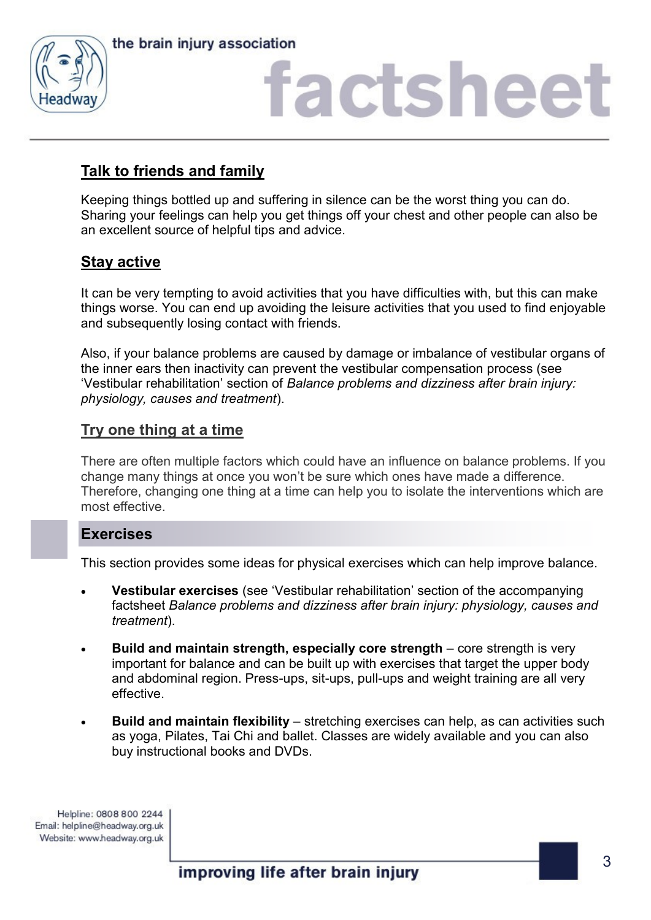



### **Talk to friends and family**

Keeping things bottled up and suffering in silence can be the worst thing you can do. Sharing your feelings can help you get things off your chest and other people can also be an excellent source of helpful tips and advice.

### **Stay active**

It can be very tempting to avoid activities that you have difficulties with, but this can make things worse. You can end up avoiding the leisure activities that you used to find enjoyable and subsequently losing contact with friends.

Also, if your balance problems are caused by damage or imbalance of vestibular organs of the inner ears then inactivity can prevent the vestibular compensation process (see 'Vestibular rehabilitation' section of *Balance problems and dizziness after brain injury: physiology, causes and treatment*).

### **Try one thing at a time**

There are often multiple factors which could have an influence on balance problems. If you change many things at once you won't be sure which ones have made a difference. Therefore, changing one thing at a time can help you to isolate the interventions which are most effective.

### **Exercises**

This section provides some ideas for physical exercises which can help improve balance.

- **Vestibular exercises** (see 'Vestibular rehabilitation' section of the accompanying factsheet *Balance problems and dizziness after brain injury: physiology, causes and treatment*).
- **Build and maintain strength, especially core strength** core strength is very important for balance and can be built up with exercises that target the upper body and abdominal region. Press-ups, sit-ups, pull-ups and weight training are all very effective.
- **Build and maintain flexibility** stretching exercises can help, as can activities such as yoga, Pilates, Tai Chi and ballet. Classes are widely available and you can also buy instructional books and DVDs.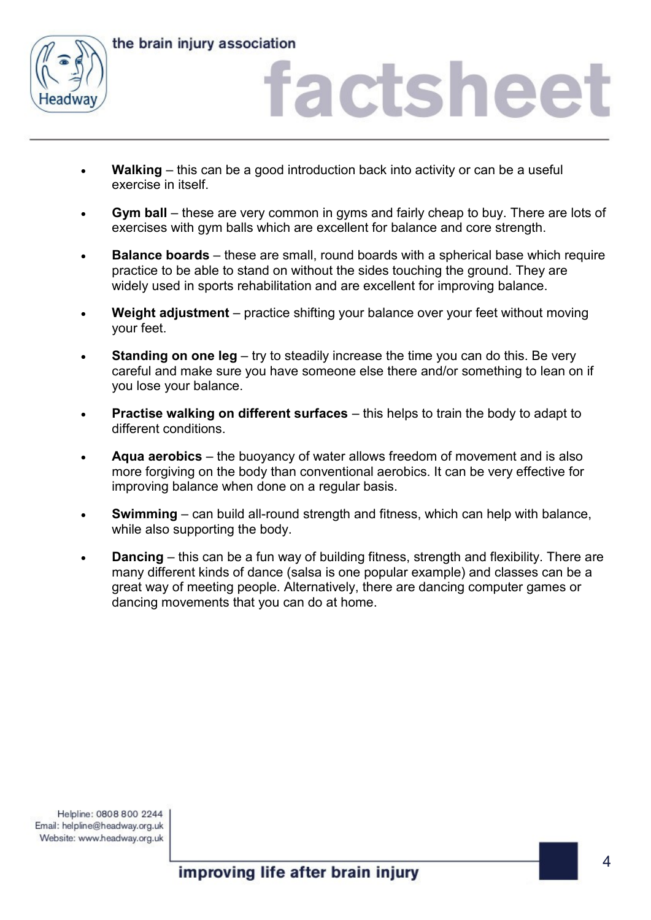

the brain injury association

### actshee

- **Walking** this can be a good introduction back into activity or can be a useful exercise in itself.
- **Gym ball** these are very common in gyms and fairly cheap to buy. There are lots of exercises with gym balls which are excellent for balance and core strength.
- **Balance boards** these are small, round boards with a spherical base which require practice to be able to stand on without the sides touching the ground. They are widely used in sports rehabilitation and are excellent for improving balance.
- **Weight adjustment**  practice shifting your balance over your feet without moving your feet.
- **Standing on one leg** try to steadily increase the time you can do this. Be very careful and make sure you have someone else there and/or something to lean on if you lose your balance.
- **Practise walking on different surfaces** this helps to train the body to adapt to different conditions.
- **Aqua aerobics** the buoyancy of water allows freedom of movement and is also more forgiving on the body than conventional aerobics. It can be very effective for improving balance when done on a regular basis.
- **Swimming** can build all-round strength and fitness, which can help with balance, while also supporting the body.
- **Dancing** this can be a fun way of building fitness, strength and flexibility. There are many different kinds of dance (salsa is one popular example) and classes can be a great way of meeting people. Alternatively, there are dancing computer games or dancing movements that you can do at home.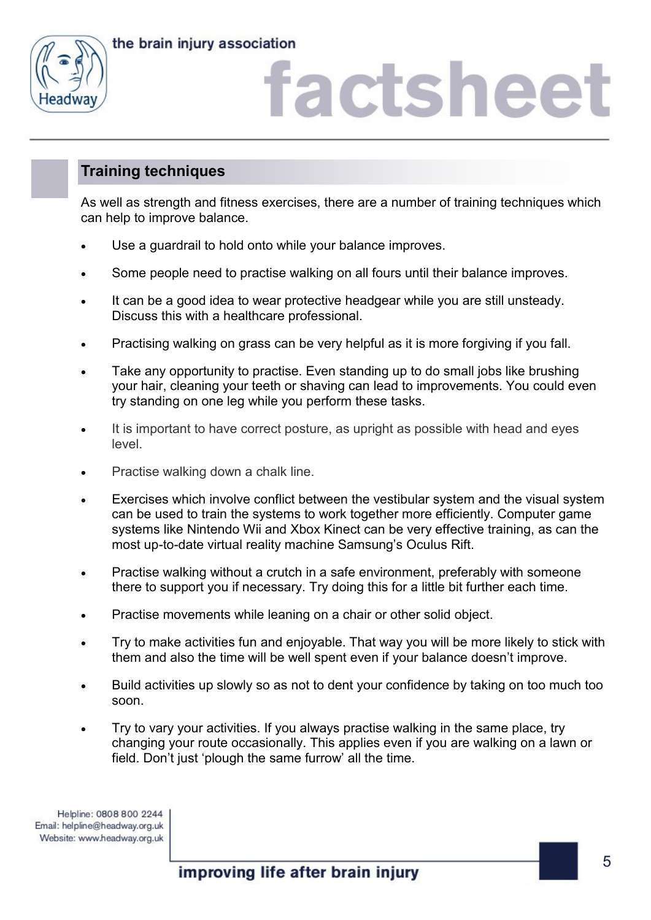



# actshee

### **Training techniques**

As well as strength and fitness exercises, there are a number of training techniques which can help to improve balance.

- Use a guardrail to hold onto while your balance improves.
- Some people need to practise walking on all fours until their balance improves.
- It can be a good idea to wear protective headgear while you are still unsteady. Discuss this with a healthcare professional.
- Practising walking on grass can be very helpful as it is more forgiving if you fall.
- Take any opportunity to practise. Even standing up to do small jobs like brushing your hair, cleaning your teeth or shaving can lead to improvements. You could even try standing on one leg while you perform these tasks.
- It is important to have correct posture, as upright as possible with head and eyes level.
- Practise walking down a chalk line.
- Exercises which involve conflict between the vestibular system and the visual system can be used to train the systems to work together more efficiently. Computer game systems like Nintendo Wii and Xbox Kinect can be very effective training, as can the most up-to-date virtual reality machine Samsung's Oculus Rift.
- Practise walking without a crutch in a safe environment, preferably with someone there to support you if necessary. Try doing this for a little bit further each time.
- Practise movements while leaning on a chair or other solid object.
- Try to make activities fun and enjoyable. That way you will be more likely to stick with them and also the time will be well spent even if your balance doesn't improve.
- Build activities up slowly so as not to dent your confidence by taking on too much too soon.
- Try to vary your activities. If you always practise walking in the same place, try changing your route occasionally. This applies even if you are walking on a lawn or field. Don't just 'plough the same furrow' all the time.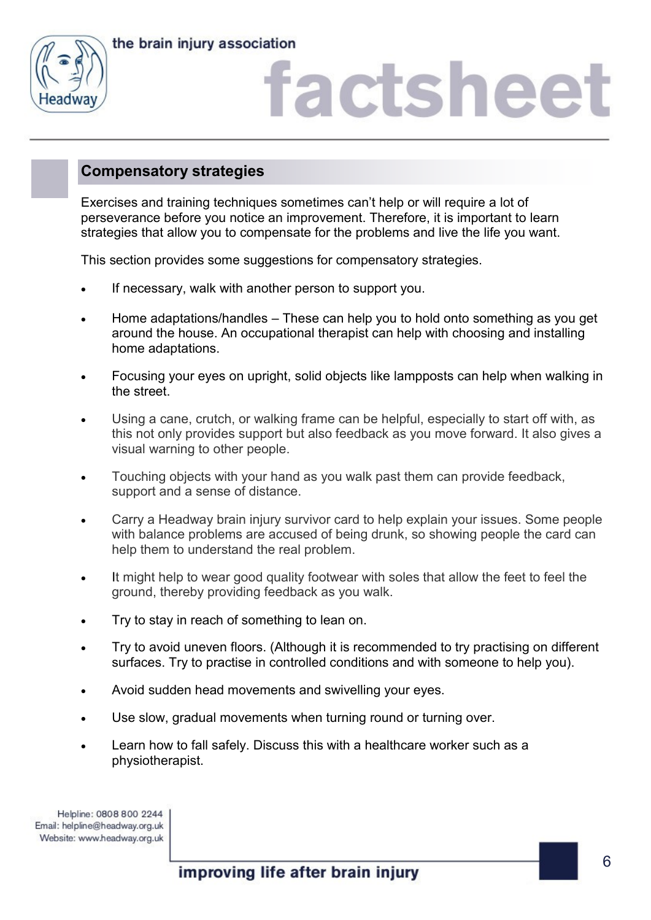



# actshee

### **Compensatory strategies**

Exercises and training techniques sometimes can't help or will require a lot of perseverance before you notice an improvement. Therefore, it is important to learn strategies that allow you to compensate for the problems and live the life you want.

This section provides some suggestions for compensatory strategies.

- If necessary, walk with another person to support you.
- Home adaptations/handles These can help you to hold onto something as you get around the house. An occupational therapist can help with choosing and installing home adaptations.
- Focusing your eyes on upright, solid objects like lampposts can help when walking in the street.
- Using a cane, crutch, or walking frame can be helpful, especially to start off with, as this not only provides support but also feedback as you move forward. It also gives a visual warning to other people.
- Touching objects with your hand as you walk past them can provide feedback, support and a sense of distance.
- Carry a Headway brain injury survivor card to help explain your issues. Some people with balance problems are accused of being drunk, so showing people the card can help them to understand the real problem.
- It might help to wear good quality footwear with soles that allow the feet to feel the ground, thereby providing feedback as you walk.
- Try to stay in reach of something to lean on.
- Try to avoid uneven floors. (Although it is recommended to try practising on different surfaces. Try to practise in controlled conditions and with someone to help you).
- Avoid sudden head movements and swivelling your eyes.
- Use slow, gradual movements when turning round or turning over.
- Learn how to fall safely. Discuss this with a healthcare worker such as a physiotherapist.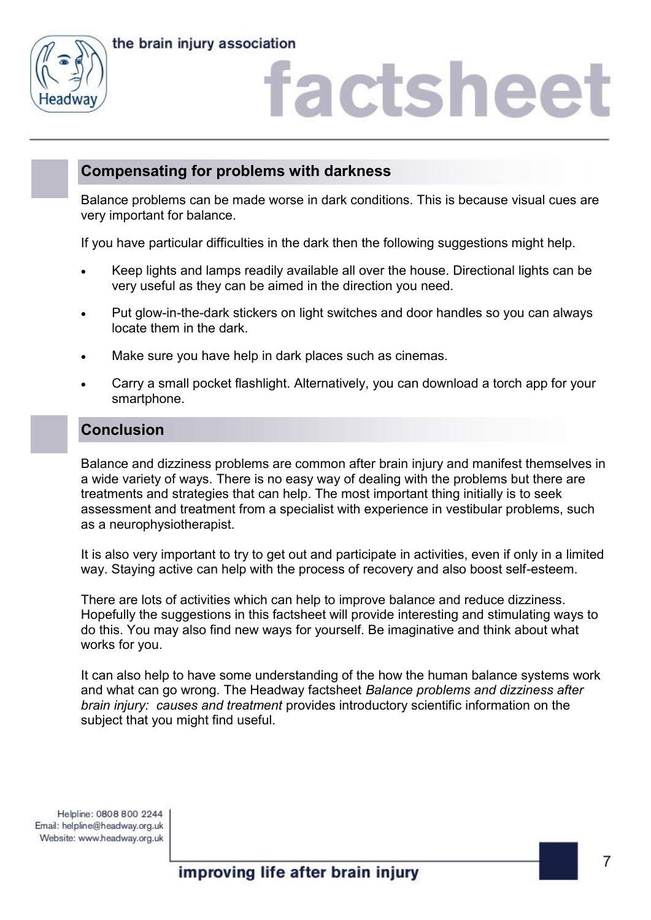



### **Compensating for problems with darkness**

Balance problems can be made worse in dark conditions. This is because visual cues are very important for balance.

If you have particular difficulties in the dark then the following suggestions might help.

- Keep lights and lamps readily available all over the house. Directional lights can be very useful as they can be aimed in the direction you need.
- Put glow-in-the-dark stickers on light switches and door handles so you can always locate them in the dark.
- Make sure you have help in dark places such as cinemas.
- Carry a small pocket flashlight. Alternatively, you can download a torch app for your smartphone.

### **Conclusion**

Balance and dizziness problems are common after brain injury and manifest themselves in a wide variety of ways. There is no easy way of dealing with the problems but there are treatments and strategies that can help. The most important thing initially is to seek assessment and treatment from a specialist with experience in vestibular problems, such as a neurophysiotherapist.

It is also very important to try to get out and participate in activities, even if only in a limited way. Staying active can help with the process of recovery and also boost self-esteem.

There are lots of activities which can help to improve balance and reduce dizziness. Hopefully the suggestions in this factsheet will provide interesting and stimulating ways to do this. You may also find new ways for yourself. Be imaginative and think about what works for you.

It can also help to have some understanding of the how the human balance systems work and what can go wrong. The Headway factsheet *Balance problems and dizziness after brain injury: causes and treatment* provides introductory scientific information on the subject that you might find useful.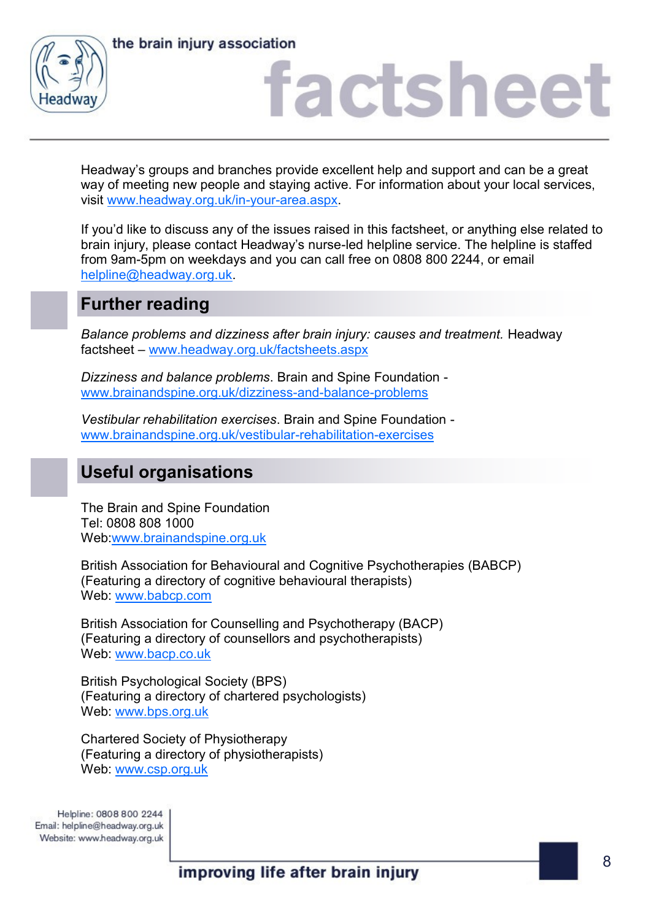

the brain injury association

### factsheet

Headway's groups and branches provide excellent help and support and can be a great way of meeting new people and staying active. For information about your local services, visit [www.headway.org.uk/in-your-area.aspx.](http://www.headway.org.uk/in-your-area.aspx)

If you'd like to discuss any of the issues raised in this factsheet, or anything else related to brain injury, please contact Headway's nurse-led helpline service. The helpline is staffed from 9am-5pm on weekdays and you can call free on 0808 800 2244, or email [helpline@headway.org.uk.](mailto:helpline@headway.org.uk) 

### **Further reading**

*Balance problems and dizziness after brain injury: causes and treatment.* Headway factsheet – [www.headway.org.uk/factsheets.aspx](http://www.headway.org.uk/factsheets.aspx)

*Dizziness and balance problems*. Brain and Spine Foundation [www.brainandspine.org.uk/dizziness-and-balance-problems](http://www.brainandspine.org.uk/dizziness-and-balance-problems)

*Vestibular rehabilitation exercises*. Brain and Spine Foundation [www.brainandspine.org.uk/vestibular-rehabilitation-exercises](http://www.brainandspine.org.uk/vestibular-rehabilitation-exercises)

### **Useful organisations**

The Brain and Spine Foundation Tel: 0808 808 1000 Web[:www.brainandspine.org.uk](http://www.brainandspine.org.uk)

British Association for Behavioural and Cognitive Psychotherapies (BABCP) (Featuring a directory of cognitive behavioural therapists) Web: [www.babcp.com](http://www.babcp.com)

British Association for Counselling and Psychotherapy (BACP) (Featuring a directory of counsellors and psychotherapists) Web: [www.bacp.co.uk](http://www.bacp.co.uk)

British Psychological Society (BPS) (Featuring a directory of chartered psychologists) Web: [www.bps.org.uk](http://www.bps.org.uk)

Chartered Society of Physiotherapy (Featuring a directory of physiotherapists) Web: [www.csp.org.uk](http://www.csp.org.uk)

Helpline: 0808 800 2244 Email: helpline@headway.org.uk Website: www.headway.org.uk

improving life after brain injury